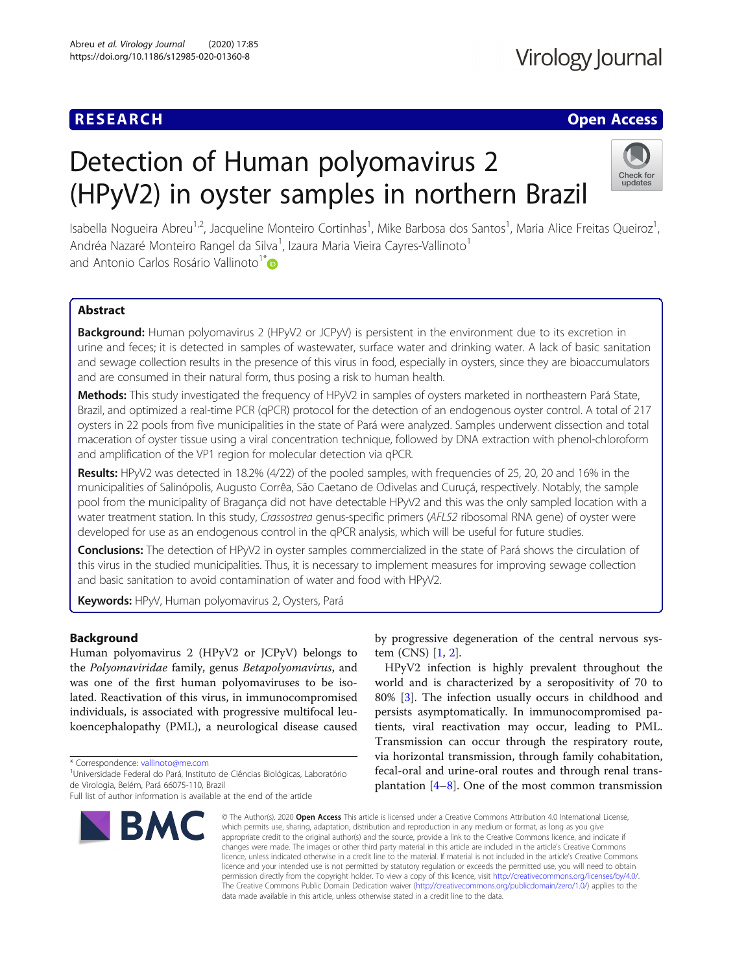## **RESEARCH CHE Open Access**

# Detection of Human polyomavirus 2 (HPyV2) in oyster samples in northern Brazil



Isabella Nogueira Abreu<sup>1,2</sup>, Jacqueline Monteiro Cortinhas<sup>1</sup>, Mike Barbosa dos Santos<sup>1</sup>, Maria Alice Freitas Queiroz<sup>1</sup> , Andréa Nazaré Monteiro Rangel da Silva<sup>1</sup>, Izaura Maria Vieira Cayres-Vallinoto<sup>1</sup> and Antonio Carlos Rosário Vallinoto<sup>1\*</sup>

### Abstract

Background: Human polyomavirus 2 (HPyV2 or JCPyV) is persistent in the environment due to its excretion in urine and feces; it is detected in samples of wastewater, surface water and drinking water. A lack of basic sanitation and sewage collection results in the presence of this virus in food, especially in oysters, since they are bioaccumulators and are consumed in their natural form, thus posing a risk to human health.

Methods: This study investigated the frequency of HPyV2 in samples of oysters marketed in northeastern Pará State, Brazil, and optimized a real-time PCR (qPCR) protocol for the detection of an endogenous oyster control. A total of 217 oysters in 22 pools from five municipalities in the state of Pará were analyzed. Samples underwent dissection and total maceration of oyster tissue using a viral concentration technique, followed by DNA extraction with phenol-chloroform and amplification of the VP1 region for molecular detection via qPCR.

Results: HPyV2 was detected in 18.2% (4/22) of the pooled samples, with frequencies of 25, 20, 20 and 16% in the municipalities of Salinópolis, Augusto Corrêa, São Caetano de Odivelas and Curuçá, respectively. Notably, the sample pool from the municipality of Bragança did not have detectable HPyV2 and this was the only sampled location with a water treatment station. In this study, Crassostrea genus-specific primers (AFL52 ribosomal RNA gene) of oyster were developed for use as an endogenous control in the qPCR analysis, which will be useful for future studies.

Conclusions: The detection of HPyV2 in oyster samples commercialized in the state of Pará shows the circulation of this virus in the studied municipalities. Thus, it is necessary to implement measures for improving sewage collection and basic sanitation to avoid contamination of water and food with HPyV2.

Keywords: HPyV, Human polyomavirus 2, Oysters, Pará

#### Background

Human polyomavirus 2 (HPyV2 or JCPyV) belongs to the Polyomaviridae family, genus Betapolyomavirus, and was one of the first human polyomaviruses to be isolated. Reactivation of this virus, in immunocompromised individuals, is associated with progressive multifocal leukoencephalopathy (PML), a neurological disease caused

\* Correspondence: [vallinoto@me.com](mailto:vallinoto@me.com) <sup>1</sup>

Full list of author information is available at the end of the article



by progressive degeneration of the central nervous system (CNS) [[1,](#page-5-0) [2\]](#page-5-0).

HPyV2 infection is highly prevalent throughout the world and is characterized by a seropositivity of 70 to 80% [[3\]](#page-5-0). The infection usually occurs in childhood and persists asymptomatically. In immunocompromised patients, viral reactivation may occur, leading to PML. Transmission can occur through the respiratory route, via horizontal transmission, through family cohabitation, fecal-oral and urine-oral routes and through renal transplantation  $[4-8]$  $[4-8]$  $[4-8]$  $[4-8]$ . One of the most common transmission

© The Author(s), 2020 **Open Access** This article is licensed under a Creative Commons Attribution 4.0 International License, which permits use, sharing, adaptation, distribution and reproduction in any medium or format, as long as you give appropriate credit to the original author(s) and the source, provide a link to the Creative Commons licence, and indicate if changes were made. The images or other third party material in this article are included in the article's Creative Commons licence, unless indicated otherwise in a credit line to the material. If material is not included in the article's Creative Commons licence and your intended use is not permitted by statutory regulation or exceeds the permitted use, you will need to obtain permission directly from the copyright holder. To view a copy of this licence, visit [http://creativecommons.org/licenses/by/4.0/.](http://creativecommons.org/licenses/by/4.0/) The Creative Commons Public Domain Dedication waiver [\(http://creativecommons.org/publicdomain/zero/1.0/](http://creativecommons.org/publicdomain/zero/1.0/)) applies to the data made available in this article, unless otherwise stated in a credit line to the data.

Universidade Federal do Pará, Instituto de Ciências Biológicas, Laboratório de Virologia, Belém, Pará 66075-110, Brazil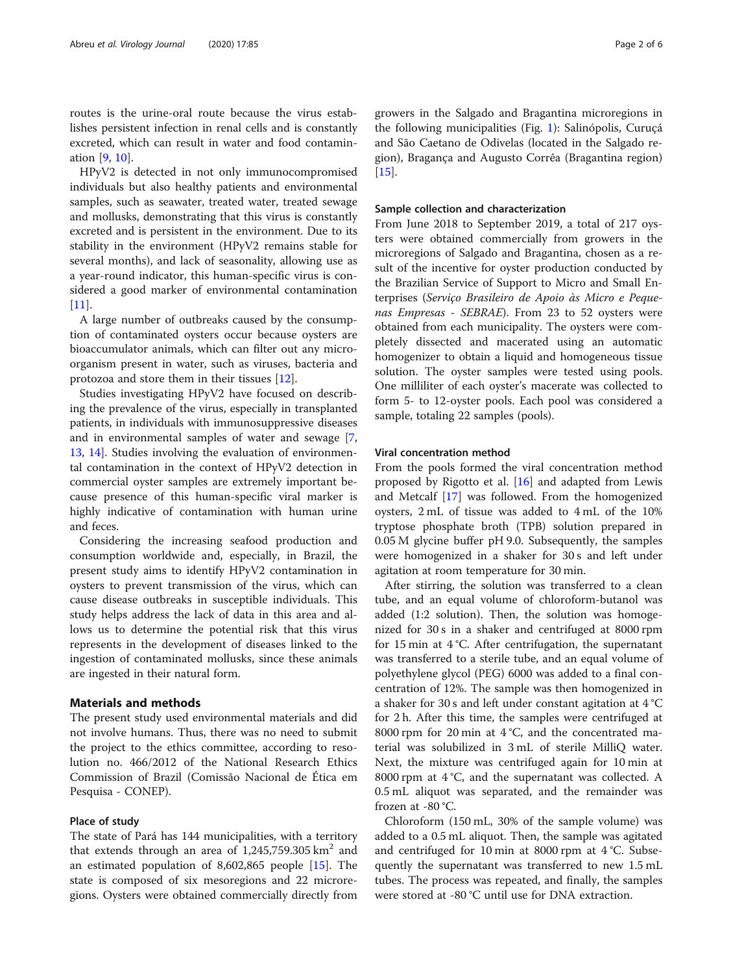routes is the urine-oral route because the virus establishes persistent infection in renal cells and is constantly excreted, which can result in water and food contamination [\[9](#page-5-0), [10](#page-5-0)].

HPyV2 is detected in not only immunocompromised individuals but also healthy patients and environmental samples, such as seawater, treated water, treated sewage and mollusks, demonstrating that this virus is constantly excreted and is persistent in the environment. Due to its stability in the environment (HPyV2 remains stable for several months), and lack of seasonality, allowing use as a year-round indicator, this human-specific virus is considered a good marker of environmental contamination  $[11]$  $[11]$ .

A large number of outbreaks caused by the consumption of contaminated oysters occur because oysters are bioaccumulator animals, which can filter out any microorganism present in water, such as viruses, bacteria and protozoa and store them in their tissues [[12](#page-5-0)].

Studies investigating HPyV2 have focused on describing the prevalence of the virus, especially in transplanted patients, in individuals with immunosuppressive diseases and in environmental samples of water and sewage [\[7](#page-5-0), [13,](#page-5-0) [14\]](#page-5-0). Studies involving the evaluation of environmental contamination in the context of HPyV2 detection in commercial oyster samples are extremely important because presence of this human-specific viral marker is highly indicative of contamination with human urine and feces.

Considering the increasing seafood production and consumption worldwide and, especially, in Brazil, the present study aims to identify HPyV2 contamination in oysters to prevent transmission of the virus, which can cause disease outbreaks in susceptible individuals. This study helps address the lack of data in this area and allows us to determine the potential risk that this virus represents in the development of diseases linked to the ingestion of contaminated mollusks, since these animals are ingested in their natural form.

#### Materials and methods

The present study used environmental materials and did not involve humans. Thus, there was no need to submit the project to the ethics committee, according to resolution no. 466/2012 of the National Research Ethics Commission of Brazil (Comissão Nacional de Ética em Pesquisa - CONEP).

#### Place of study

The state of Pará has 144 municipalities, with a territory that extends through an area of  $1,245,759.305 \text{ km}^2$  and an estimated population of 8,602,865 people [\[15](#page-5-0)]. The state is composed of six mesoregions and 22 microregions. Oysters were obtained commercially directly from growers in the Salgado and Bragantina microregions in the following municipalities (Fig. [1\)](#page-2-0): Salinópolis, Curuçá and São Caetano de Odivelas (located in the Salgado region), Bragança and Augusto Corrêa (Bragantina region) [[15\]](#page-5-0).

#### Sample collection and characterization

From June 2018 to September 2019, a total of 217 oysters were obtained commercially from growers in the microregions of Salgado and Bragantina, chosen as a result of the incentive for oyster production conducted by the Brazilian Service of Support to Micro and Small Enterprises (Serviço Brasileiro de Apoio às Micro e Pequenas Empresas - SEBRAE). From 23 to 52 oysters were obtained from each municipality. The oysters were completely dissected and macerated using an automatic homogenizer to obtain a liquid and homogeneous tissue solution. The oyster samples were tested using pools. One milliliter of each oyster's macerate was collected to form 5- to 12-oyster pools. Each pool was considered a sample, totaling 22 samples (pools).

#### Viral concentration method

From the pools formed the viral concentration method proposed by Rigotto et al. [[16](#page-5-0)] and adapted from Lewis and Metcalf [\[17](#page-5-0)] was followed. From the homogenized oysters, 2 mL of tissue was added to 4 mL of the 10% tryptose phosphate broth (TPB) solution prepared in 0.05 M glycine buffer pH 9.0. Subsequently, the samples were homogenized in a shaker for 30 s and left under agitation at room temperature for 30 min.

After stirring, the solution was transferred to a clean tube, and an equal volume of chloroform-butanol was added (1:2 solution). Then, the solution was homogenized for 30 s in a shaker and centrifuged at 8000 rpm for 15 min at 4 °C. After centrifugation, the supernatant was transferred to a sterile tube, and an equal volume of polyethylene glycol (PEG) 6000 was added to a final concentration of 12%. The sample was then homogenized in a shaker for 30 s and left under constant agitation at 4 °C for 2 h. After this time, the samples were centrifuged at 8000 rpm for 20 min at 4 °C, and the concentrated material was solubilized in 3 mL of sterile MilliQ water. Next, the mixture was centrifuged again for 10 min at 8000 rpm at 4 °C, and the supernatant was collected. A 0.5 mL aliquot was separated, and the remainder was frozen at -80 °C.

Chloroform (150 mL, 30% of the sample volume) was added to a 0.5 mL aliquot. Then, the sample was agitated and centrifuged for 10 min at 8000 rpm at 4 °C. Subsequently the supernatant was transferred to new 1.5 mL tubes. The process was repeated, and finally, the samples were stored at -80 °C until use for DNA extraction.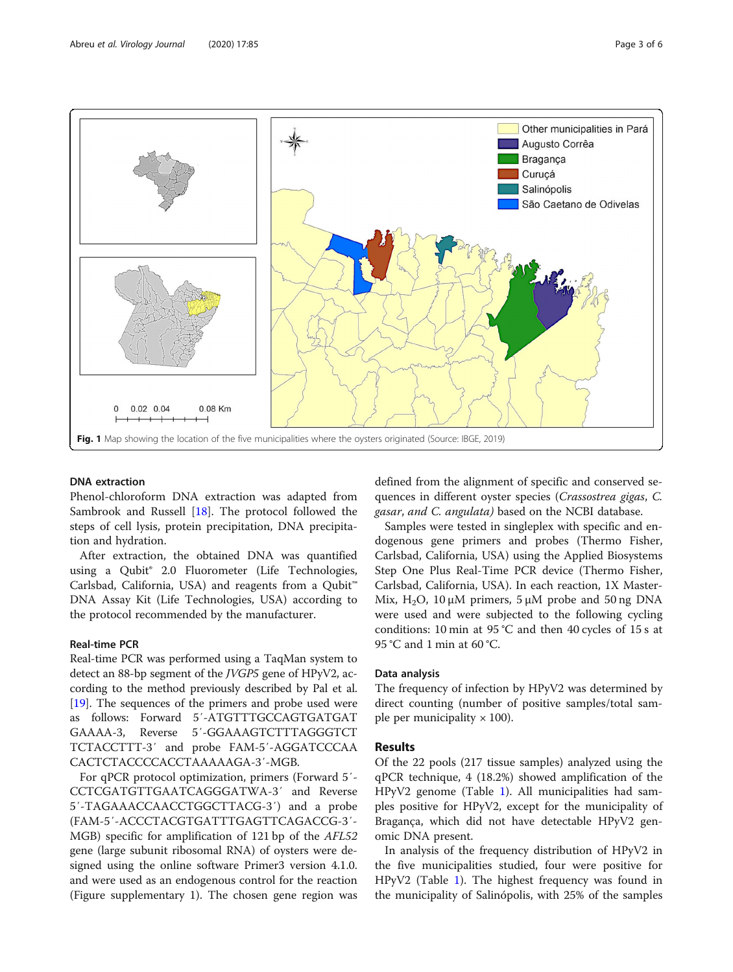<span id="page-2-0"></span>

#### DNA extraction

Phenol-chloroform DNA extraction was adapted from Sambrook and Russell [[18\]](#page-5-0). The protocol followed the steps of cell lysis, protein precipitation, DNA precipitation and hydration.

After extraction, the obtained DNA was quantified using a Qubit® 2.0 Fluorometer (Life Technologies, Carlsbad, California, USA) and reagents from a Qubit™ DNA Assay Kit (Life Technologies, USA) according to the protocol recommended by the manufacturer.

#### Real-time PCR

Real-time PCR was performed using a TaqMan system to detect an 88-bp segment of the JVGP5 gene of HPyV2, according to the method previously described by Pal et al. [[19](#page-5-0)]. The sequences of the primers and probe used were as follows: Forward 5′-ATGTTTGCCAGTGATGAT GAAAA-3, Reverse 5′-GGAAAGTCTTTAGGGTCT TCTACCTTT-3′ and probe FAM-5′-AGGATCCCAA CACTCTACCCCACCTAAAAAGA-3′-MGB.

For qPCR protocol optimization, primers (Forward 5′- CCTCGATGTTGAATCAGGGATWA-3′ and Reverse 5′-TAGAAACCAACCTGGCTTACG-3′) and a probe (FAM-5′-ACCCTACGTGATTTGAGTTCAGACCG-3′- MGB) specific for amplification of 121 bp of the AFL52 gene (large subunit ribosomal RNA) of oysters were designed using the online software Primer3 version 4.1.0. and were used as an endogenous control for the reaction (Figure supplementary 1). The chosen gene region was

defined from the alignment of specific and conserved sequences in different oyster species (Crassostrea gigas, C. gasar, and C. angulata) based on the NCBI database.

Samples were tested in singleplex with specific and endogenous gene primers and probes (Thermo Fisher, Carlsbad, California, USA) using the Applied Biosystems Step One Plus Real-Time PCR device (Thermo Fisher, Carlsbad, California, USA). In each reaction, 1X Master-Mix, H<sub>2</sub>O, 10  $\mu$ M primers, 5  $\mu$ M probe and 50 ng DNA were used and were subjected to the following cycling conditions: 10 min at 95 °C and then 40 cycles of 15 s at 95 °C and 1 min at 60 °C.

#### Data analysis

The frequency of infection by HPyV2 was determined by direct counting (number of positive samples/total sample per municipality  $\times$  100).

#### Results

Of the 22 pools (217 tissue samples) analyzed using the qPCR technique, 4 (18.2%) showed amplification of the HPyV2 genome (Table [1\)](#page-3-0). All municipalities had samples positive for HPyV2, except for the municipality of Bragança, which did not have detectable HPyV2 genomic DNA present.

In analysis of the frequency distribution of HPyV2 in the five municipalities studied, four were positive for HPyV2 (Table [1\)](#page-3-0). The highest frequency was found in the municipality of Salinópolis, with 25% of the samples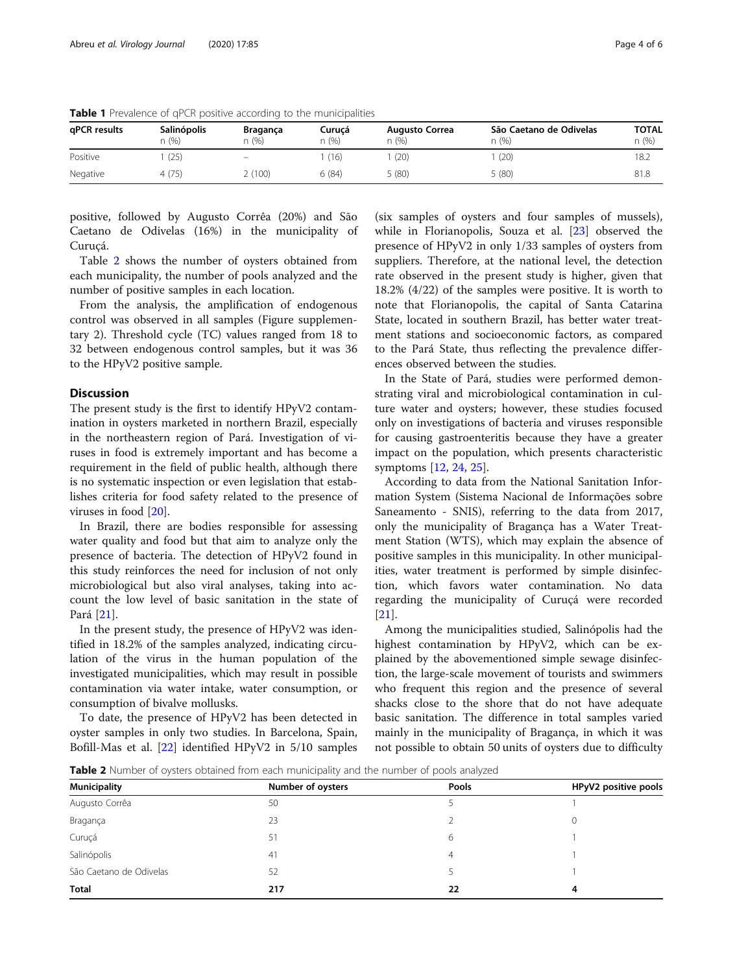| qPCR results | <b>Salinópolis</b><br>n (%) | Bragança<br>n(%)         | Curucá<br>n (%) | <b>Augusto Correa</b><br>n(% ) | São Caetano de Odivelas<br>n (%) | TOTAL<br>n(%) |
|--------------|-----------------------------|--------------------------|-----------------|--------------------------------|----------------------------------|---------------|
| Positive     | (25)                        | $\overline{\phantom{0}}$ | (16)            | (20)                           | (20)                             | 18.2          |
| Negative     | 4(75)                       | 2(100)                   | 6(84)           | 5 (80)                         | 5(80)                            | 81.8          |

<span id="page-3-0"></span>**Table 1** Prevalence of qPCR positive according to the municipalities

positive, followed by Augusto Corrêa (20%) and São Caetano de Odivelas (16%) in the municipality of Curuçá.

Table 2 shows the number of oysters obtained from each municipality, the number of pools analyzed and the number of positive samples in each location.

From the analysis, the amplification of endogenous control was observed in all samples (Figure supplementary 2). Threshold cycle (TC) values ranged from 18 to 32 between endogenous control samples, but it was 36 to the HPyV2 positive sample.

#### **Discussion**

The present study is the first to identify HPyV2 contamination in oysters marketed in northern Brazil, especially in the northeastern region of Pará. Investigation of viruses in food is extremely important and has become a requirement in the field of public health, although there is no systematic inspection or even legislation that establishes criteria for food safety related to the presence of viruses in food [[20\]](#page-5-0).

In Brazil, there are bodies responsible for assessing water quality and food but that aim to analyze only the presence of bacteria. The detection of HPyV2 found in this study reinforces the need for inclusion of not only microbiological but also viral analyses, taking into account the low level of basic sanitation in the state of Pará [[21\]](#page-5-0).

In the present study, the presence of HPyV2 was identified in 18.2% of the samples analyzed, indicating circulation of the virus in the human population of the investigated municipalities, which may result in possible contamination via water intake, water consumption, or consumption of bivalve mollusks.

To date, the presence of HPyV2 has been detected in oyster samples in only two studies. In Barcelona, Spain, Bofill-Mas et al. [\[22\]](#page-5-0) identified HPyV2 in 5/10 samples

(six samples of oysters and four samples of mussels), while in Florianopolis, Souza et al. [[23\]](#page-5-0) observed the presence of HPyV2 in only 1/33 samples of oysters from suppliers. Therefore, at the national level, the detection rate observed in the present study is higher, given that 18.2% (4/22) of the samples were positive. It is worth to note that Florianopolis, the capital of Santa Catarina State, located in southern Brazil, has better water treatment stations and socioeconomic factors, as compared to the Pará State, thus reflecting the prevalence differences observed between the studies.

In the State of Pará, studies were performed demonstrating viral and microbiological contamination in culture water and oysters; however, these studies focused only on investigations of bacteria and viruses responsible for causing gastroenteritis because they have a greater impact on the population, which presents characteristic symptoms [[12](#page-5-0), [24](#page-5-0), [25](#page-5-0)].

According to data from the National Sanitation Information System (Sistema Nacional de Informações sobre Saneamento - SNIS), referring to the data from 2017, only the municipality of Bragança has a Water Treatment Station (WTS), which may explain the absence of positive samples in this municipality. In other municipalities, water treatment is performed by simple disinfection, which favors water contamination. No data regarding the municipality of Curuçá were recorded [[21\]](#page-5-0).

Among the municipalities studied, Salinópolis had the highest contamination by HPyV2, which can be explained by the abovementioned simple sewage disinfection, the large-scale movement of tourists and swimmers who frequent this region and the presence of several shacks close to the shore that do not have adequate basic sanitation. The difference in total samples varied mainly in the municipality of Bragança, in which it was not possible to obtain 50 units of oysters due to difficulty

**Table 2** Number of oysters obtained from each municipality and the number of pools analyzed

| <b>Municipality</b>     | Number of oysters | Pools | HPyV2 positive pools |  |
|-------------------------|-------------------|-------|----------------------|--|
| Augusto Corrêa          | 50                |       |                      |  |
| Bragança                | 23                |       |                      |  |
| Curuçá                  | 51                | 6     |                      |  |
| Salinópolis             | 41                | 4     |                      |  |
| São Caetano de Odivelas | 52                |       |                      |  |
| Total                   | 217               | 22    | 4                    |  |
|                         |                   |       |                      |  |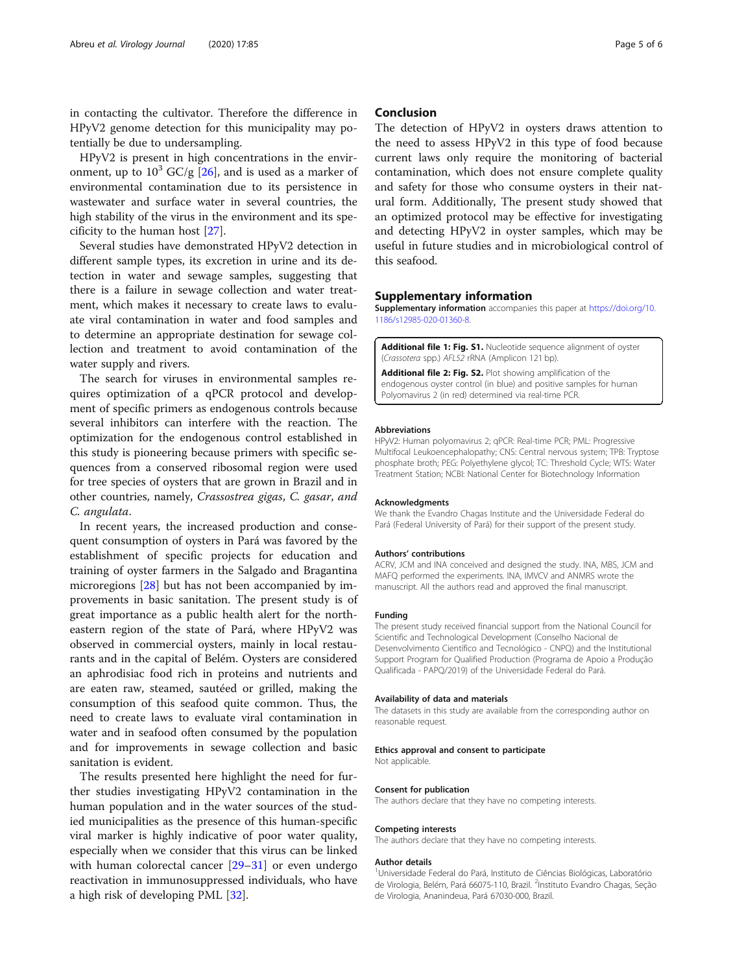in contacting the cultivator. Therefore the difference in HPyV2 genome detection for this municipality may potentially be due to undersampling.

HPyV2 is present in high concentrations in the environment, up to  $10^3$  GC/g [[26\]](#page-5-0), and is used as a marker of environmental contamination due to its persistence in wastewater and surface water in several countries, the high stability of the virus in the environment and its specificity to the human host [[27](#page-5-0)].

Several studies have demonstrated HPyV2 detection in different sample types, its excretion in urine and its detection in water and sewage samples, suggesting that there is a failure in sewage collection and water treatment, which makes it necessary to create laws to evaluate viral contamination in water and food samples and to determine an appropriate destination for sewage collection and treatment to avoid contamination of the water supply and rivers.

The search for viruses in environmental samples requires optimization of a qPCR protocol and development of specific primers as endogenous controls because several inhibitors can interfere with the reaction. The optimization for the endogenous control established in this study is pioneering because primers with specific sequences from a conserved ribosomal region were used for tree species of oysters that are grown in Brazil and in other countries, namely, Crassostrea gigas, C. gasar, and C. angulata.

In recent years, the increased production and consequent consumption of oysters in Pará was favored by the establishment of specific projects for education and training of oyster farmers in the Salgado and Bragantina microregions [[28\]](#page-5-0) but has not been accompanied by improvements in basic sanitation. The present study is of great importance as a public health alert for the northeastern region of the state of Pará, where HPyV2 was observed in commercial oysters, mainly in local restaurants and in the capital of Belém. Oysters are considered an aphrodisiac food rich in proteins and nutrients and are eaten raw, steamed, sautéed or grilled, making the consumption of this seafood quite common. Thus, the need to create laws to evaluate viral contamination in water and in seafood often consumed by the population and for improvements in sewage collection and basic sanitation is evident.

The results presented here highlight the need for further studies investigating HPyV2 contamination in the human population and in the water sources of the studied municipalities as the presence of this human-specific viral marker is highly indicative of poor water quality, especially when we consider that this virus can be linked with human colorectal cancer [[29](#page-5-0)–[31](#page-5-0)] or even undergo reactivation in immunosuppressed individuals, who have a high risk of developing PML [[32\]](#page-5-0).

#### Conclusion

The detection of HPyV2 in oysters draws attention to the need to assess HPyV2 in this type of food because current laws only require the monitoring of bacterial contamination, which does not ensure complete quality and safety for those who consume oysters in their natural form. Additionally, The present study showed that an optimized protocol may be effective for investigating and detecting HPyV2 in oyster samples, which may be useful in future studies and in microbiological control of this seafood.

#### Supplementary information

Supplementary information accompanies this paper at [https://doi.org/10.](https://doi.org/10.1186/s12985-020-01360-8) [1186/s12985-020-01360-8](https://doi.org/10.1186/s12985-020-01360-8).

Additional file 1: Fig. S1. Nucleotide sequence alignment of oyster (Crassotera spp.) AFL52 rRNA (Amplicon 121 bp).

Additional file 2: Fig. S2. Plot showing amplification of the endogenous oyster control (in blue) and positive samples for human Polyomavirus 2 (in red) determined via real-time PCR.

#### Abbreviations

HPyV2: Human polyomavirus 2; qPCR: Real-time PCR; PML: Progressive Multifocal Leukoencephalopathy; CNS: Central nervous system; TPB: Tryptose phosphate broth; PEG: Polyethylene glycol; TC: Threshold Cycle; WTS: Water Treatment Station; NCBI: National Center for Biotechnology Information

#### Acknowledgments

We thank the Evandro Chagas Institute and the Universidade Federal do Pará (Federal University of Pará) for their support of the present study.

#### Authors' contributions

ACRV, JCM and INA conceived and designed the study. INA, MBS, JCM and MAFQ performed the experiments. INA, IMVCV and ANMRS wrote the manuscript. All the authors read and approved the final manuscript.

#### Funding

The present study received financial support from the National Council for Scientific and Technological Development (Conselho Nacional de Desenvolvimento Científico and Tecnológico - CNPQ) and the Institutional Support Program for Qualified Production (Programa de Apoio a Produção Qualificada - PAPQ/2019) of the Universidade Federal do Pará.

#### Availability of data and materials

The datasets in this study are available from the corresponding author on reasonable request.

#### Ethics approval and consent to participate

Not applicable.

#### Consent for publication

The authors declare that they have no competing interests.

#### Competing interests

The authors declare that they have no competing interests.

#### Author details

<sup>1</sup>Universidade Federal do Pará, Instituto de Ciências Biológicas, Laboratóric de Virologia, Belém, Pará 66075-110, Brazil. <sup>2</sup>Instituto Evandro Chagas, Seção de Virologia, Ananindeua, Pará 67030-000, Brazil.